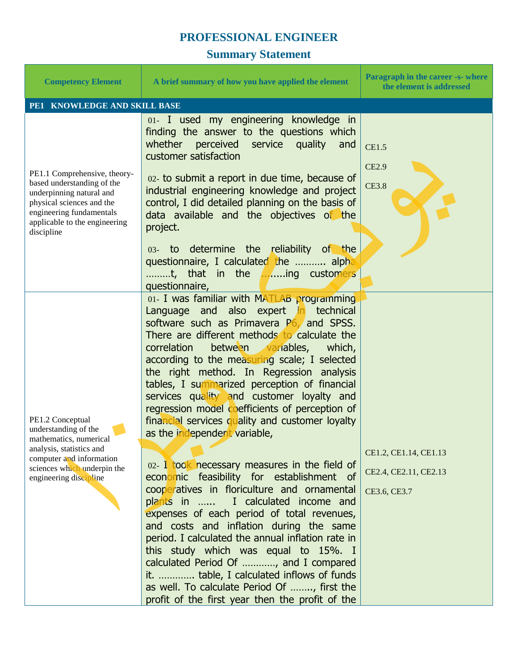## **PROFESSIONAL ENGINEER**

## **Summary Statement**

| <b>Competency Element</b>                                                                                                                                                                      | A brief summary of how you have applied the element                                                                                                                                                                                                                                                                                                                                                                                                                                                                                                                                                                                                                                                                                                                                                                                                                                                                                                                                                                                                                                                                              | Paragraph in the career -s- where<br>the element is addressed  |
|------------------------------------------------------------------------------------------------------------------------------------------------------------------------------------------------|----------------------------------------------------------------------------------------------------------------------------------------------------------------------------------------------------------------------------------------------------------------------------------------------------------------------------------------------------------------------------------------------------------------------------------------------------------------------------------------------------------------------------------------------------------------------------------------------------------------------------------------------------------------------------------------------------------------------------------------------------------------------------------------------------------------------------------------------------------------------------------------------------------------------------------------------------------------------------------------------------------------------------------------------------------------------------------------------------------------------------------|----------------------------------------------------------------|
| PE1 KNOWLEDGE AND SKILL BASE                                                                                                                                                                   |                                                                                                                                                                                                                                                                                                                                                                                                                                                                                                                                                                                                                                                                                                                                                                                                                                                                                                                                                                                                                                                                                                                                  |                                                                |
| PE1.1 Comprehensive, theory-<br>based understanding of the<br>underpinning natural and<br>physical sciences and the<br>engineering fundamentals<br>applicable to the engineering<br>discipline | 01- I used my engineering knowledge in<br>finding the answer to the questions which<br>whether<br>perceived service quality<br>and<br>customer satisfaction<br>02- to submit a report in due time, because of<br>industrial engineering knowledge and project<br>control, I did detailed planning on the basis of<br>data available and the objectives of the<br>project.<br>03- to determine the reliability of the<br>questionnaire, I calculated the  alpha<br>t, that in the ing customers<br>questionnaire,                                                                                                                                                                                                                                                                                                                                                                                                                                                                                                                                                                                                                 | <b>CE1.5</b><br><b>CE2.9</b><br><b>CE3.8</b>                   |
| PE1.2 Conceptual<br>understanding of the<br>mathematics, numerical<br>analysis, statistics and<br>computer and information<br>sciences which underpin the<br>engineering discipline            | 01- I was familiar with MATLAB programming<br>Language and also expert in technical<br>software such as Primavera $P6$ , and SPSS.<br>There are different methods to calculate the<br>correlation<br>between variables,<br>which,<br>according to the measuring scale; I selected<br>the right method. In Regression analysis<br>tables, I summarized perception of financial<br>services quality and customer loyalty and<br>regression model coefficients of perception of<br>financial services quality and customer loyalty<br>as the independent variable,<br>02- I took necessary measures in the field of<br>economic feasibility for establishment of<br>cooperatives in floriculture and ornamental<br>plants in  I calculated income and<br>expenses of each period of total revenues,<br>and costs and inflation during the same<br>period. I calculated the annual inflation rate in<br>this study which was equal to 15%. I<br>calculated Period Of , and I compared<br>it.  table, I calculated inflows of funds<br>as well. To calculate Period Of , first the<br>profit of the first year then the profit of the | CE1.2, CE1.14, CE1.13<br>CE2.4, CE2.11, CE2.13<br>CE3.6, CE3.7 |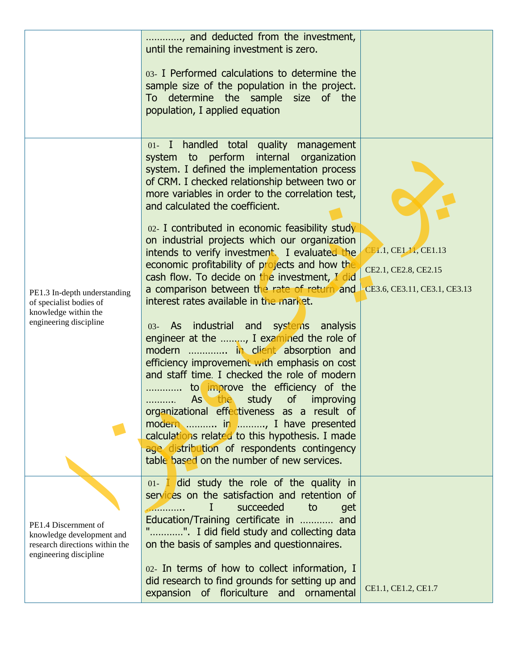|                                                                                                               | , and deducted from the investment,<br>until the remaining investment is zero.                                                                                                                                                                                  |                                                                               |
|---------------------------------------------------------------------------------------------------------------|-----------------------------------------------------------------------------------------------------------------------------------------------------------------------------------------------------------------------------------------------------------------|-------------------------------------------------------------------------------|
|                                                                                                               | 03- I Performed calculations to determine the<br>sample size of the population in the project.<br>To determine the sample size of the                                                                                                                           |                                                                               |
|                                                                                                               | population, I applied equation                                                                                                                                                                                                                                  |                                                                               |
|                                                                                                               | 01- I handled total quality<br>management<br>system to perform internal organization<br>system. I defined the implementation process<br>of CRM. I checked relationship between two or<br>more variables in order to the correlation test,                       |                                                                               |
| PE1.3 In-depth understanding<br>of specialist bodies of<br>knowledge within the<br>engineering discipline     | and calculated the coefficient.<br>02- I contributed in economic feasibility study<br>on industrial projects which our organization                                                                                                                             |                                                                               |
|                                                                                                               | intends to verify investment. I evaluated the<br>economic profitability of projects and how the<br>cash flow. To decide on the investment, I did<br>a comparison between the rate of return and                                                                 | CE1.1, CE1.11, CE1.13<br>CE2.1, CE2.8, CE2.15<br>CE3.6, CE3.11, CE3.1, CE3.13 |
|                                                                                                               | interest rates available in the market.<br>03- As industrial and systems analysis<br>engineer at the , I examined the role of                                                                                                                                   |                                                                               |
|                                                                                                               | modern  in client absorption and<br>efficiency improvement with emphasis on cost<br>and staff time. I checked the role of modern<br>to improve the efficiency of the<br>.                                                                                       |                                                                               |
|                                                                                                               | As the study<br><sub>of</sub><br>improving<br>.<br>organizational effectiveness as a result of<br>modern  in , I have presented<br>calculations related to this hypothesis. I made                                                                              |                                                                               |
|                                                                                                               | age distribution of respondents contingency<br>table based on the number of new services.                                                                                                                                                                       |                                                                               |
| PE1.4 Discernment of<br>knowledge development and<br>research directions within the<br>engineering discipline | 01- I did study the role of the quality in<br>services on the satisfaction and retention of<br>succeeded<br>to<br>Τ<br>get<br>Education/Training certificate in  and<br>". I did field study and collecting data<br>on the basis of samples and questionnaires. |                                                                               |
|                                                                                                               | 02- In terms of how to collect information, I<br>did research to find grounds for setting up and<br>expansion of floriculture and<br>ornamental                                                                                                                 | CE1.1, CE1.2, CE1.7                                                           |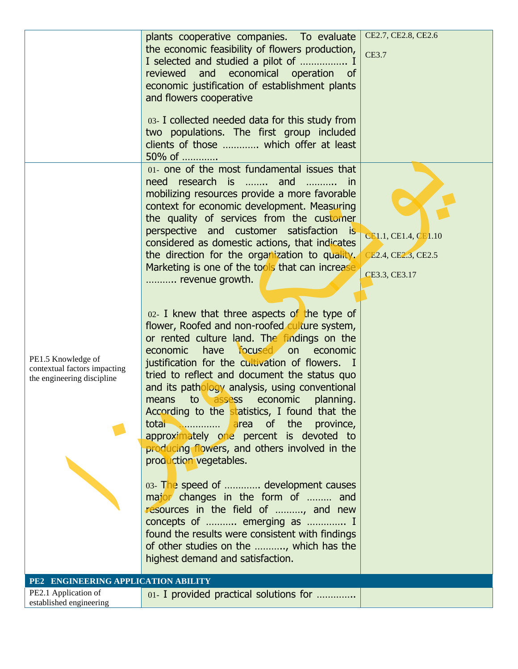|                                                                                  | plants cooperative companies. To evaluate<br>the economic feasibility of flowers production,<br>I selected and studied a pilot of  I<br>reviewed and economical operation of<br>economic justification of establishment plants<br>and flowers cooperative<br>03- I collected needed data for this study from<br>two populations. The first group included<br>clients of those  which offer at least<br>50% of                                                                                                                                                                                                                                                                                                                                                                                                                                                                                                                                                                                                                                                                                                                                                                                                                                                                                                                                                                                     | CE2.7, CE2.8, CE2.6<br>CE3.7                                 |
|----------------------------------------------------------------------------------|---------------------------------------------------------------------------------------------------------------------------------------------------------------------------------------------------------------------------------------------------------------------------------------------------------------------------------------------------------------------------------------------------------------------------------------------------------------------------------------------------------------------------------------------------------------------------------------------------------------------------------------------------------------------------------------------------------------------------------------------------------------------------------------------------------------------------------------------------------------------------------------------------------------------------------------------------------------------------------------------------------------------------------------------------------------------------------------------------------------------------------------------------------------------------------------------------------------------------------------------------------------------------------------------------------------------------------------------------------------------------------------------------|--------------------------------------------------------------|
| PE1.5 Knowledge of<br>contextual factors impacting<br>the engineering discipline | 01- one of the most fundamental issues that<br>need research is  and<br><i>in</i><br>$\overline{\phantom{a}}$<br>mobilizing resources provide a more favorable<br>context for economic development. Measuring<br>the quality of services from the customer<br>perspective and customer satisfaction<br>— is<br>considered as domestic actions, that indicates<br>the direction for the organization to quality.<br>Marketing is one of the tools that can increase<br>revenue growth.<br>$02$ - I knew that three aspects of the type of<br>flower, Roofed and non-roofed culture system,<br>or rented culture land. The findings on the<br>economic have focused on<br>economic<br>justification for the cultivation of flowers. I<br>tried to reflect and document the status quo<br>and its pathology analysis, using conventional<br>to assess economic<br>planning.<br>means<br>According to the statistics, I found that the<br><b>Example 20</b> area of the province,<br>total<br>approximately one percent is devoted to<br>producing flowers, and others involved in the<br>production vegetables.<br>03- The speed of  development causes<br>major changes in the form of  and<br>resources in the field of , and new<br>concepts of  emerging as  I<br>found the results were consistent with findings<br>of other studies on the , which has the<br>highest demand and satisfaction. | CE1.1, CE1.4, CE1.10<br>CE2.4, CE2.3, CE2.5<br>CE3.3, CE3.17 |
| PE2 ENGINEERING APPLICATION ABILITY<br>PE2.1 Application of                      |                                                                                                                                                                                                                                                                                                                                                                                                                                                                                                                                                                                                                                                                                                                                                                                                                                                                                                                                                                                                                                                                                                                                                                                                                                                                                                                                                                                                   |                                                              |
| established engineering                                                          | 01- I provided practical solutions for                                                                                                                                                                                                                                                                                                                                                                                                                                                                                                                                                                                                                                                                                                                                                                                                                                                                                                                                                                                                                                                                                                                                                                                                                                                                                                                                                            |                                                              |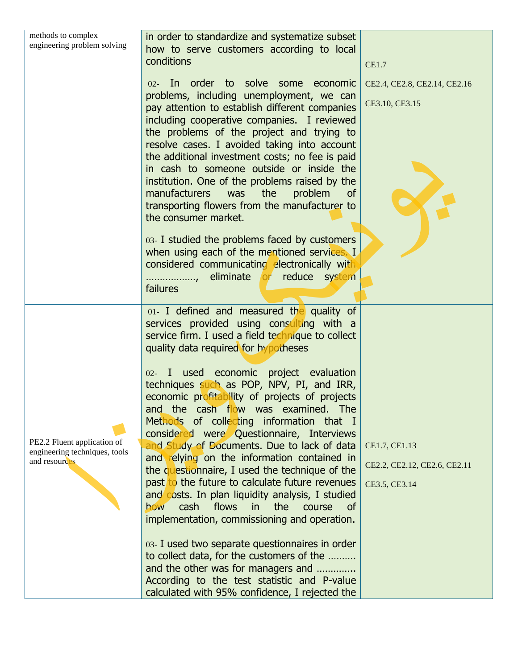| methods to complex<br>in order to standardize and systematize subset<br>engineering problem solving<br>how to serve customers according to local<br>conditions<br><b>CE1.7</b>  |  |
|---------------------------------------------------------------------------------------------------------------------------------------------------------------------------------|--|
| 02- In order to solve some economic<br>CE2.4, CE2.8, CE2.14, CE2.16                                                                                                             |  |
| problems, including unemployment, we can<br>CE3.10, CE3.15<br>pay attention to establish different companies                                                                    |  |
| including cooperative companies. I reviewed<br>the problems of the project and trying to                                                                                        |  |
| resolve cases. I avoided taking into account<br>the additional investment costs; no fee is paid                                                                                 |  |
| in cash to someone outside or inside the                                                                                                                                        |  |
| institution. One of the problems raised by the<br>manufacturers<br>was<br>the<br>problem<br><b>of</b>                                                                           |  |
| transporting flowers from the manufacturer to<br>the consumer market.                                                                                                           |  |
| 03- I studied the problems faced by customers                                                                                                                                   |  |
| when using each of the mentioned services. I<br>considered communicating electronically with                                                                                    |  |
| eliminate or reduce system<br>failures                                                                                                                                          |  |
| 01- I defined and measured the quality of<br>services provided using consulting with a                                                                                          |  |
| service firm. I used a field technique to collect<br>quality data required for hypotheses                                                                                       |  |
| 02- I used economic project evaluation                                                                                                                                          |  |
| techniques such as POP, NPV, PI, and IRR,<br>economic profitability of projects of projects                                                                                     |  |
| and the cash flow was examined. The<br>Methods of collecting information that I                                                                                                 |  |
| considered were Questionnaire, Interviews<br>PE2.2 Fluent application of<br>and Study of Documents. Due to lack of data<br>CE1.7, CE1.13                                        |  |
| engineering techniques, tools<br>and relying on the information contained in<br>and resources<br>CE2.2, CE2.12, CE2.6, CE2.11<br>the questionnaire, I used the technique of the |  |
| past to the future to calculate future revenues<br>CE3.5, CE3.14                                                                                                                |  |
| and costs. In plan liquidity analysis, I studied<br>flows<br>cash<br>the<br>in.<br>how<br>course<br><b>of</b>                                                                   |  |
| implementation, commissioning and operation.                                                                                                                                    |  |
| 03- I used two separate questionnaires in order<br>to collect data, for the customers of the                                                                                    |  |
| and the other was for managers and                                                                                                                                              |  |
| According to the test statistic and P-value<br>calculated with 95% confidence, I rejected the                                                                                   |  |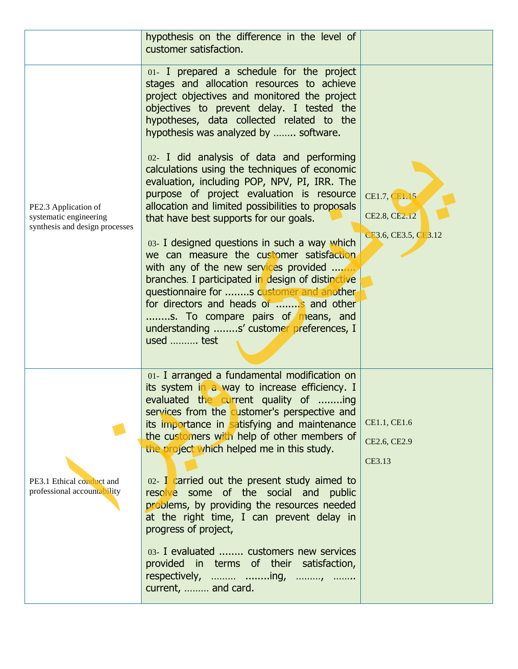|                                                                                  | hypothesis on the difference in the level of<br>customer satisfaction.                                                                                                                                                                                                                                                                                                                                                                                                                                                                                                                                                                                                                                                                                                                                                                                                                                                                             |                                                        |
|----------------------------------------------------------------------------------|----------------------------------------------------------------------------------------------------------------------------------------------------------------------------------------------------------------------------------------------------------------------------------------------------------------------------------------------------------------------------------------------------------------------------------------------------------------------------------------------------------------------------------------------------------------------------------------------------------------------------------------------------------------------------------------------------------------------------------------------------------------------------------------------------------------------------------------------------------------------------------------------------------------------------------------------------|--------------------------------------------------------|
| PE2.3 Application of<br>systematic engineering<br>synthesis and design processes | 01- I prepared a schedule for the project<br>stages and allocation resources to achieve<br>project objectives and monitored the project<br>objectives to prevent delay. I tested the<br>hypotheses, data collected related to the<br>hypothesis was analyzed by  software.<br>02- I did analysis of data and performing<br>calculations using the techniques of economic<br>evaluation, including POP, NPV, PI, IRR. The<br>purpose of project evaluation is resource<br>allocation and limited possibilities to proposals<br>that have best supports for our goals.<br>03- I designed questions in such a way which<br>we can measure the customer satisfaction<br>with any of the new services provided<br>branches. I participated in design of distinctive<br>questionnaire for s customer and another<br>for directors and heads of  and other<br>s. To compare pairs of means, and<br>understanding s' customer preferences, I<br>used  test | CE1.7, CE1.15<br>CE2.8, CE2.12<br>CE3.6, CE3.5, CE3.12 |
| PE3.1 Ethical conduct and<br>professional accountability                         | 01- I arranged a fundamental modification on<br>its system in a way to increase efficiency. I<br>evaluated the current quality of ing<br>services from the customer's perspective and<br>its importance in satisfying and maintenance<br>the customers with help of other members of<br>the project which helped me in this study.<br>02- I carried out the present study aimed to<br>resolve some of the social and public<br>problems, by providing the resources needed<br>at the right time, I can prevent delay in<br>progress of project,<br>03- I evaluated  customers new services<br>provided in terms of their satisfaction,<br>respectively,  ing, ,<br>current,  and card.                                                                                                                                                                                                                                                             | CE1.1, CE1.6<br>CE2.6, CE2.9<br>CE3.13                 |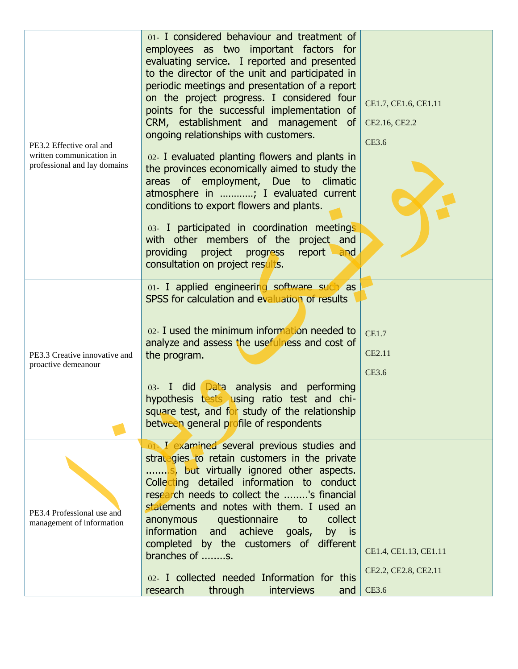| PE3.2 Effective oral and<br>written communication in<br>professional and lay domains | 01- I considered behaviour and treatment of<br>employees as two important factors for<br>evaluating service. I reported and presented<br>to the director of the unit and participated in<br>periodic meetings and presentation of a report<br>on the project progress. I considered four<br>points for the successful implementation of<br>CRM, establishment and management of<br>ongoing relationships with customers. | CE1.7, CE1.6, CE1.11<br>CE2.16, CE2.2<br><b>CE3.6</b>         |
|--------------------------------------------------------------------------------------|--------------------------------------------------------------------------------------------------------------------------------------------------------------------------------------------------------------------------------------------------------------------------------------------------------------------------------------------------------------------------------------------------------------------------|---------------------------------------------------------------|
|                                                                                      | 02- I evaluated planting flowers and plants in<br>the provinces economically aimed to study the<br>areas of employment, Due to climatic<br>atmosphere in ; I evaluated current<br>conditions to export flowers and plants.                                                                                                                                                                                               |                                                               |
|                                                                                      | 03- I participated in coordination meetings<br>with other members of the project and<br>providing<br>project progress<br>report<br>and<br>consultation on project results.                                                                                                                                                                                                                                               |                                                               |
|                                                                                      | 01- I applied engineering software such as<br>SPSS for calculation and evaluation of results                                                                                                                                                                                                                                                                                                                             |                                                               |
| PE3.3 Creative innovative and<br>proactive demeanour                                 | 02- I used the minimum information needed to<br>analyze and assess the usefulness and cost of<br>the program.                                                                                                                                                                                                                                                                                                            | <b>CE1.7</b><br>CE2.11<br><b>CE3.6</b>                        |
|                                                                                      | did Data analysis and performing<br>$03 - 1$<br>hypothesis tests using ratio test and chi-<br>square test, and for study of the relationship<br>between general profile of respondents                                                                                                                                                                                                                                   |                                                               |
| PE3.4 Professional use and<br>management of information                              | 01 I examined several previous studies and<br>strategies to retain customers in the private<br>S. but virtually ignored other aspects.<br>Collecting detailed information to conduct<br>research needs to collect the 's financial<br>statements and notes with them. I used an<br>collect<br>questionnaire<br>to<br>anonymous<br>information and<br>achieve<br>goals,<br>by is                                          |                                                               |
|                                                                                      | completed by the customers of different<br>branches of s.<br>02- I collected needed Information for this<br>through<br><b>interviews</b><br>research<br>and                                                                                                                                                                                                                                                              | CE1.4, CE1.13, CE1.11<br>CE2.2, CE2.8, CE2.11<br><b>CE3.6</b> |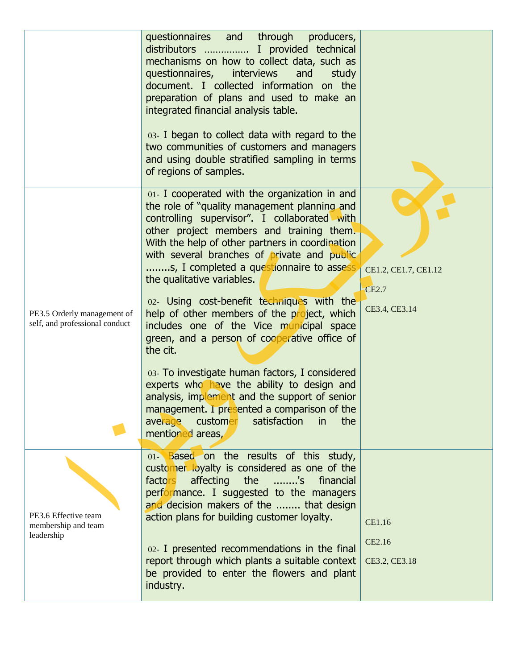|                                                               | questionnaires and through<br>producers,<br>distributors  I provided technical<br>mechanisms on how to collect data, such as<br>questionnaires, interviews<br>and<br>study<br>document. I collected information on the<br>preparation of plans and used to make an<br>integrated financial analysis table.<br>03- I began to collect data with regard to the<br>two communities of customers and managers<br>and using double stratified sampling in terms<br>of regions of samples.                                                                                                                                                                                                                                                                                                                                                               |                                                       |
|---------------------------------------------------------------|----------------------------------------------------------------------------------------------------------------------------------------------------------------------------------------------------------------------------------------------------------------------------------------------------------------------------------------------------------------------------------------------------------------------------------------------------------------------------------------------------------------------------------------------------------------------------------------------------------------------------------------------------------------------------------------------------------------------------------------------------------------------------------------------------------------------------------------------------|-------------------------------------------------------|
| PE3.5 Orderly management of<br>self, and professional conduct | 01- I cooperated with the organization in and<br>the role of "quality management planning and<br>controlling supervisor". I collaborated with<br>other project members and training them.<br>With the help of other partners in coordination<br>with several branches of private and public<br>s, I completed a questionnaire to assess<br>the qualitative variables.<br>02- Using cost-benefit techniques with the<br>help of other members of the project, which<br>includes one of the Vice municipal space<br>green, and a person of cooperative office of<br>the cit.<br>03- To investigate human factors, I considered<br>experts who have the ability to design and<br>analysis, implement and the support of senior<br>management. I presented a comparison of the<br>customer<br>satisfaction<br>the<br>average<br>in<br>mentioned areas, | CE1.2, CE1.7, CE1.12<br><b>CE2.7</b><br>CE3.4, CE3.14 |
| PE3.6 Effective team<br>membership and team<br>leadership     | 01- Based on the results of this study,<br>customer loyalty is considered as one of the<br>affecting<br>the<br>factors<br>'s<br>financial<br>performance. I suggested to the managers<br>and decision makers of the  that design<br>action plans for building customer loyalty.<br>02- I presented recommendations in the final<br>report through which plants a suitable context<br>be provided to enter the flowers and plant<br>industry.                                                                                                                                                                                                                                                                                                                                                                                                       | CE1.16<br>CE2.16<br>CE3.2, CE3.18                     |